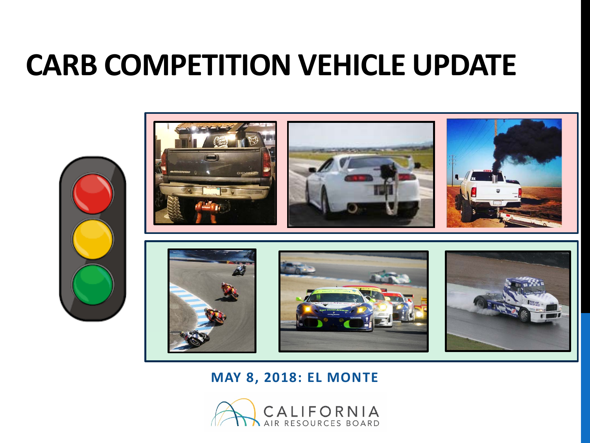# **CARB COMPETITION VEHICLE UPDATE**





**MAY 8, 2018: EL MONTE**

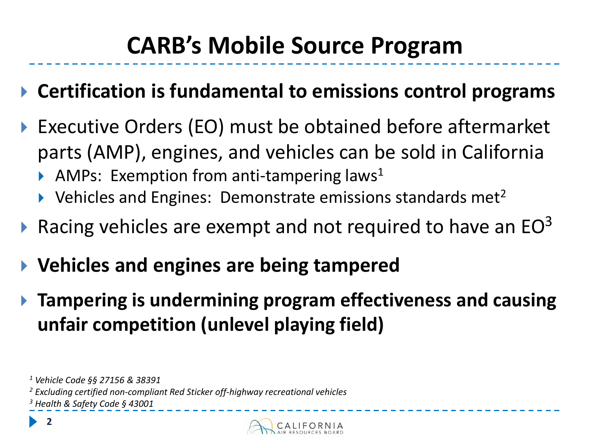## **CARB's Mobile Source Program**

- **Certification is fundamental to emissions control programs**
- Executive Orders (EO) must be obtained before aftermarket parts (AMP), engines, and vehicles can be sold in California
	- AMPs: Exemption from anti-tampering laws<sup>1</sup>
	- $\blacktriangleright$  Vehicles and Engines: Demonstrate emissions standards met<sup>2</sup>
- Racing vehicles are exempt and not required to have an EO<sup>3</sup>
- **Vehicles and engines are being tampered**
- **Tampering is undermining program effectiveness and causing unfair competition (unlevel playing field)**

**2**



*<sup>1</sup> Vehicle Code §§ 27156 & 38391*

*<sup>2</sup> Excluding certified non-compliant Red Sticker off-highway recreational vehicles*

*<sup>3</sup> Health & Safety Code § 43001*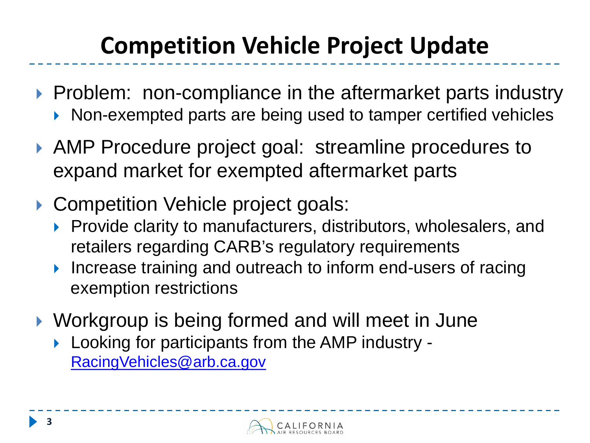# **Competition Vehicle Project Update**

- ▶ Problem: non-compliance in the aftermarket parts industry ▶ Non-exempted parts are being used to tamper certified vehicles
- AMP Procedure project goal: streamline procedures to expand market for exempted aftermarket parts
- ▶ Competition Vehicle project goals:
	- Provide clarity to manufacturers, distributors, wholesalers, and retailers regarding CARB's regulatory requirements
	- Increase training and outreach to inform end-users of racing exemption restrictions
- ▶ Workgroup is being formed and will meet in June
	- **Looking for participants from the AMP industry -**[RacingVehicles@arb.ca.gov](mailto:RacingVehicles@arb.ca.gov)